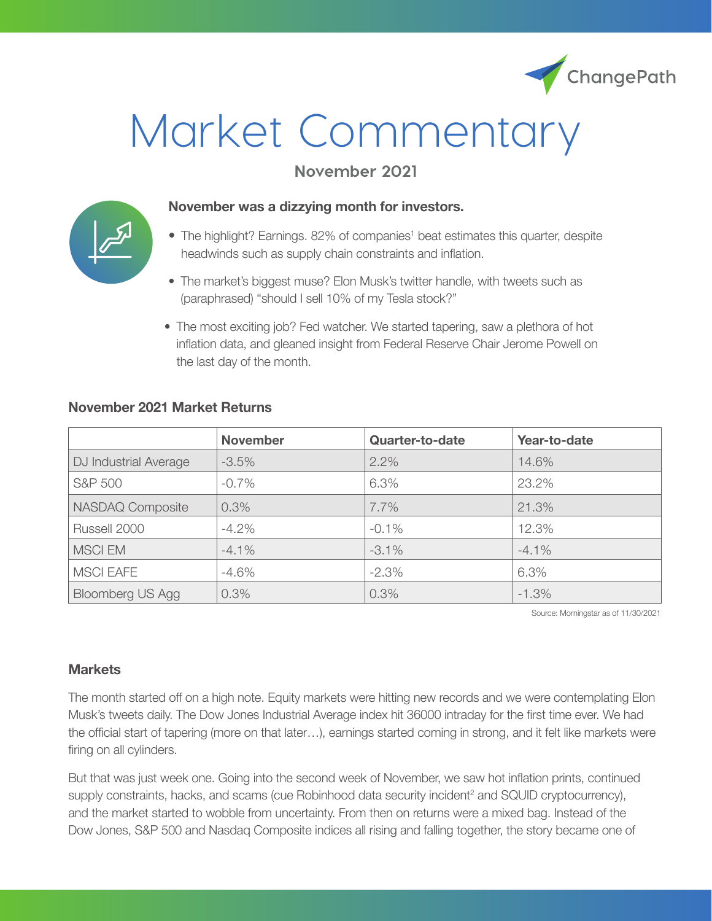

# Market Commentary

# **November 2021**



#### **November was a dizzying month for investors.**

- The highlight? Earnings. 82% of companies<sup>1</sup> beat estimates this quarter, despite headwinds such as supply chain constraints and inflation.
- The market's biggest muse? Elon Musk's twitter handle, with tweets such as (paraphrased) "should I sell 10% of my Tesla stock?"
- The most exciting job? Fed watcher. We started tapering, saw a plethora of hot inflation data, and gleaned insight from Federal Reserve Chair Jerome Powell on the last day of the month.

|                         | <b>November</b> | <b>Quarter-to-date</b> | Year-to-date |
|-------------------------|-----------------|------------------------|--------------|
| DJ Industrial Average   | $-3.5%$         | 2.2%                   | 14.6%        |
| S&P 500                 | $-0.7\%$        | 6.3%                   | 23.2%        |
| NASDAQ Composite        | 0.3%            | 7.7%                   | 21.3%        |
| Russell 2000            | $-4.2%$         | $-0.1\%$               | 12.3%        |
| <b>MSCI EM</b>          | $-4.1\%$        | $-3.1%$                | $-4.1%$      |
| <b>MSCI EAFE</b>        | $-4.6%$         | $-2.3%$                | 6.3%         |
| <b>Bloomberg US Agg</b> | 0.3%            | 0.3%                   | $-1.3%$      |

# **November 2021 Market Returns**

Source: Morningstar as of 11/30/2021

### **Markets**

The month started off on a high note. Equity markets were hitting new records and we were contemplating Elon Musk's tweets daily. The Dow Jones Industrial Average index hit 36000 intraday for the first time ever. We had the official start of tapering (more on that later…), earnings started coming in strong, and it felt like markets were firing on all cylinders.

But that was just week one. Going into the second week of November, we saw hot inflation prints, continued supply constraints, hacks, and scams (cue Robinhood data security incident<sup>2</sup> and SQUID cryptocurrency), and the market started to wobble from uncertainty. From then on returns were a mixed bag. Instead of the Dow Jones, S&P 500 and Nasdaq Composite indices all rising and falling together, the story became one of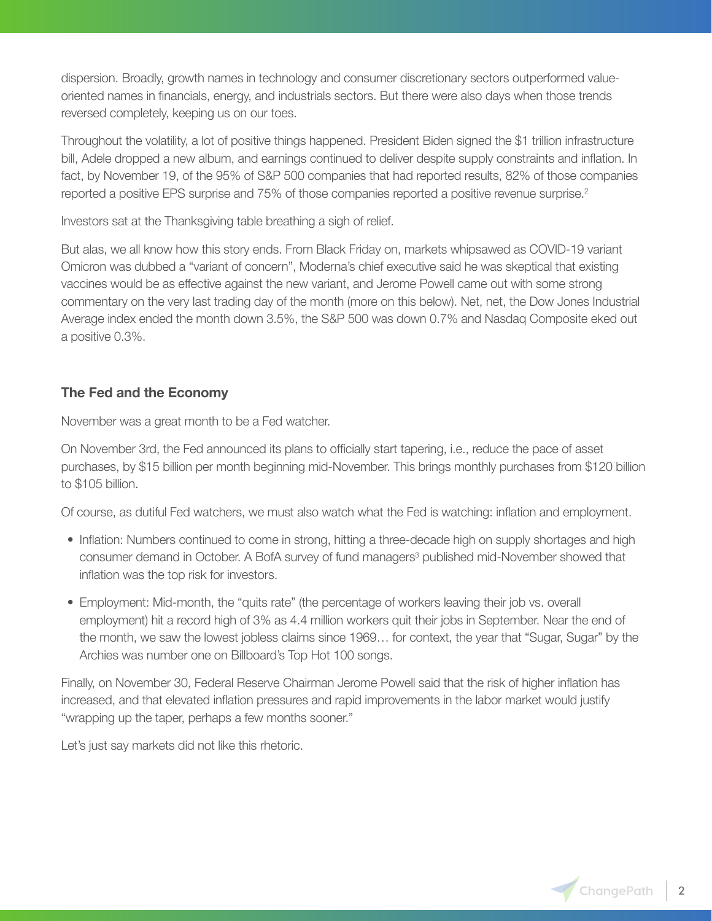dispersion. Broadly, growth names in technology and consumer discretionary sectors outperformed valueoriented names in financials, energy, and industrials sectors. But there were also days when those trends reversed completely, keeping us on our toes.

Throughout the volatility, a lot of positive things happened. President Biden signed the \$1 trillion infrastructure bill, Adele dropped a new album, and earnings continued to deliver despite supply constraints and inflation. In fact, by November 19, of the 95% of S&P 500 companies that had reported results, 82% of those companies reported a positive EPS surprise and 75% of those companies reported a positive revenue surprise.<sup>2</sup>

Investors sat at the Thanksgiving table breathing a sigh of relief.

But alas, we all know how this story ends. From Black Friday on, markets whipsawed as COVID-19 variant Omicron was dubbed a "variant of concern", Moderna's chief executive said he was skeptical that existing vaccines would be as effective against the new variant, and Jerome Powell came out with some strong commentary on the very last trading day of the month (more on this below). Net, net, the Dow Jones Industrial Average index ended the month down 3.5%, the S&P 500 was down 0.7% and Nasdaq Composite eked out a positive 0.3%.

# **The Fed and the Economy**

November was a great month to be a Fed watcher.

On November 3rd, the Fed announced its plans to officially start tapering, i.e., reduce the pace of asset purchases, by \$15 billion per month beginning mid-November. This brings monthly purchases from \$120 billion to \$105 billion.

Of course, as dutiful Fed watchers, we must also watch what the Fed is watching: inflation and employment.

- Inflation: Numbers continued to come in strong, hitting a three-decade high on supply shortages and high consumer demand in October. A BofA survey of fund managers<sup>3</sup> published mid-November showed that inflation was the top risk for investors.
- Employment: Mid-month, the "quits rate" (the percentage of workers leaving their job vs. overall employment) hit a record high of 3% as 4.4 million workers quit their jobs in September. Near the end of the month, we saw the lowest jobless claims since 1969… for context, the year that "Sugar, Sugar" by the Archies was number one on Billboard's Top Hot 100 songs.

Finally, on November 30, Federal Reserve Chairman Jerome Powell said that the risk of higher inflation has increased, and that elevated inflation pressures and rapid improvements in the labor market would justify "wrapping up the taper, perhaps a few months sooner."

Let's just say markets did not like this rhetoric.